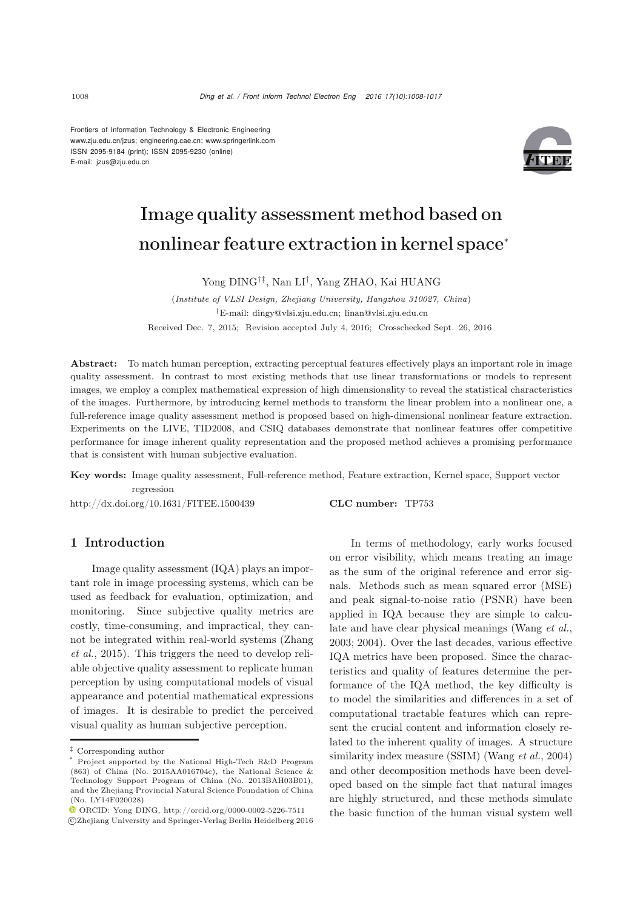Frontiers of Information Technology & Electronic Engineering www.zju.edu.cn/jzus; engineering.cae.cn; www.springerlink.com ISSN 2095-9184 (print); ISSN 2095-9230 (online) E-mail: jzus@zju.edu.cn



# Image quality assessment method based on nonlinear feature extraction in kernel space<sup>∗</sup>

Yong DING†‡, Nan LI†, Yang ZHAO, Kai HUANG

(*Institute of VLSI Design, Zhejiang University, Hangzhou 310027, China*) *†*E-mail: dingy@vlsi.zju.edu.cn; linan@vlsi.zju.edu.cn Received Dec. 7, 2015; Revision accepted July 4, 2016; Crosschecked Sept. 26, 2016

Abstract: To match human perception, extracting perceptual features effectively plays an important role in image quality assessment. In contrast to most existing methods that use linear transformations or models to represent images, we employ a complex mathematical expression of high dimensionality to reveal the statistical characteristics of the images. Furthermore, by introducing kernel methods to transform the linear problem into a nonlinear one, a full-reference image quality assessment method is proposed based on high-dimensional nonlinear feature extraction. Experiments on the LIVE, TID2008, and CSIQ databases demonstrate that nonlinear features offer competitive performance for image inherent quality representation and the proposed method achieves a promising performance that is consistent with human subjective evaluation.

Key words: Image quality assessment, Full-reference method, Feature extraction, Kernel space, Support vector regression

http://dx.doi.org/10.1631/FITEE.1500439 CLC number: TP753

## 1 Introduction

Image quality assessment (IQA) plays an important role in image processing systems, which can be used as feedback for evaluation, optimization, and monitoring. Since subjective quality metrics are costly, time-consuming, and impractical, they cannot [be](#page-9-0) [integrated](#page-9-0) [within](#page-9-0) [real-world](#page-9-0) [systems](#page-9-0) [\(](#page-9-0)Zhang *et al.*, [2015\)](#page-9-0). This triggers the need to develop reliable objective quality assessment to replicate human perception by using computational models of visual appearance and potential mathematical expressions of images. It is desirable to predict the perceived visual quality as human subjective perception.

In terms of methodology, early works focused on error visibility, which means treating an image as the sum of the original reference and error signals. Methods such as mean squared error (MSE) and peak signal-to-noise ratio (PSNR) have been applied in IQA because they are simple to calculate and have clear physical meanings (Wang *et al.*, 2003; 2004). Over the last decades, various effective IQA metrics have been proposed. Since the characteristics and quality of features determine the performance of the IQA method, the key difficulty is to model the similarities and differences in a set of computational tractable features which can represent the crucial content and information closely related to the inherent quality of images. A structure similarity index measure (SSIM) [\(Wang](#page-8-0) *et al.*, [2004](#page-8-0)) and other decomposition methods have been developed based on the simple fact that natural images are highly structured, and these methods simulate the basic function of the human visual system well

*<sup>‡</sup>* Corresponding author

<sup>\*</sup> Project supported by the National High-Tech R&D Program (863) of China (No. 2015AA016704c), the National Science & Technology Support Program of China (No. 2013BAH03B01), and the Zhejiang Provincial Natural Science Foundation of China (No. LY14F020028)

 $\bullet$  ORCID: Yong DING, http://orcid.org/0000-0002-5226-7511 c Zhejiang University and Springer-Verlag Berlin Heidelberg 2016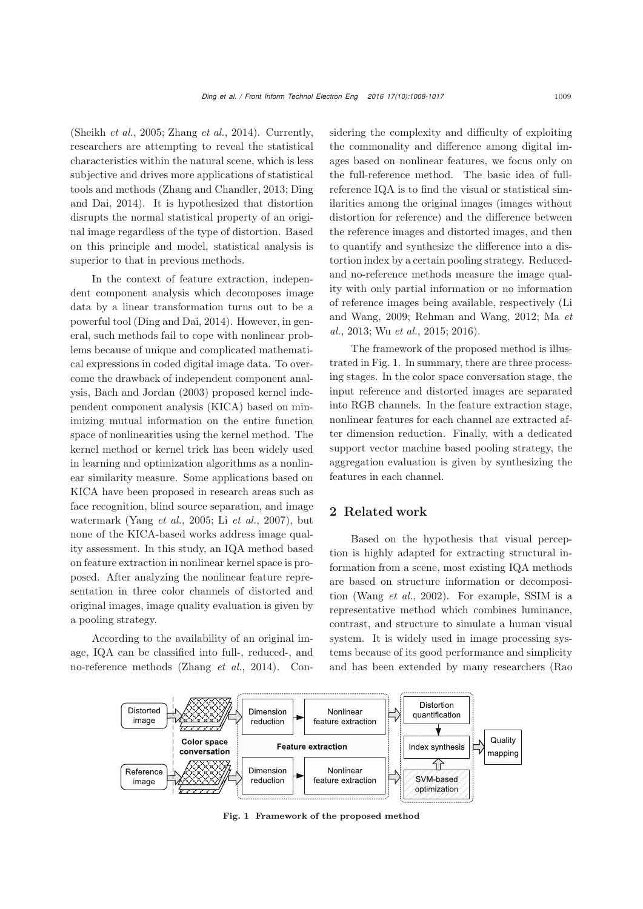[\(Sheikh](#page-8-1) *et al.*, [2005;](#page-8-1) [Zhang](#page-9-1) *et al.*, [2014](#page-9-1)). Currently, researchers are attempting to reveal the statistical characteristics within the natural scene, which is less subjective and drives more applications of statistical tools an[d](#page-8-2) [methods](#page-8-2) [\(Zhang and Chandler](#page-9-2)[,](#page-8-2) [2013](#page-9-2)[;](#page-8-2) Ding and Dai, [2014\)](#page-8-2). It is hypothesized that distortion disrupts the normal statistical property of an original image regardless of the type of distortion. Based on this principle and model, statistical analysis is superior to that in previous methods.

In the context of feature extraction, independent component analysis which decomposes image data by a linear transformation turns out to be a powerful tool [\(Ding and Dai](#page-8-2), [2014](#page-8-2)). However, in general, such methods fail to cope with nonlinear problems because of unique and complicated mathematical expressions in coded digital image data. To overcome the drawback of independent component analysis, [Bach and Jordan](#page-8-3) [\(2003](#page-8-3)) proposed kernel independent component analysis (KICA) based on minimizing mutual information on the entire function space of nonlinearities using the kernel method. The kernel method or kernel trick has been widely used in learning and optimization algorithms as a nonlinear similarity measure. Some applications based on KICA have been proposed in research areas such as face recognition, blind source separation, and image watermark [\(Yang](#page-9-3) *et al.*, [2005](#page-9-3); Li *[et al.](#page-8-4)*, [2007](#page-8-4)), but none of the KICA-based works address image quality assessment. In this study, an IQA method based on feature extraction in nonlinear kernel space is proposed. After analyzing the nonlinear feature representation in three color channels of distorted and original images, image quality evaluation is given by a pooling strategy.

According to the availability of an original image, IQA can be classified into full-, reduced-, and no-reference methods [\(Zhang](#page-9-1) *et al.*, [2014](#page-9-1)). Considering the complexity and difficulty of exploiting the commonality and difference among digital images based on nonlinear features, we focus only on the full-reference method. The basic idea of fullreference IQA is to find the visual or statistical similarities among the original images (images without distortion for reference) and the difference between the reference images and distorted images, and then to quantify and synthesize the difference into a distortion index by a certain pooling strategy. Reducedand no-reference methods measure the image quality with only partial information or no information of reference images being available, respectively (Li and Wang, 2009; Rehman and Wang, 2012; Ma *et al.*, 2013; Wu *et al.*, 2015; 2016).

The framework of the proposed method is illustrated in Fig. 1. In summary, there are three processing stages. In the color space conversation stage, the input reference and distorted images are separated into RGB channels. In the feature extraction stage, nonlinear features for each channel are extracted after dimension reduction. Finally, with a dedicated support vector machine based pooling strategy, the aggregation evaluation is given by synthesizing the features in each channel.

## 2 Related work

Based on the hypothesis that visual perception is highly adapted for extracting structural information from a scene, most existing IQA methods are based on structure information or decomposition [\(Wang](#page-8-5) *et al.*, [2002\)](#page-8-5). For example, SSIM is a representative method which combines luminance, contrast, and structure to simulate a human visual system. It is widely used in image processing systems because of its good performance and simplicity and has been extended by many researchers (Rao



Fig. 1 Framework of the proposed method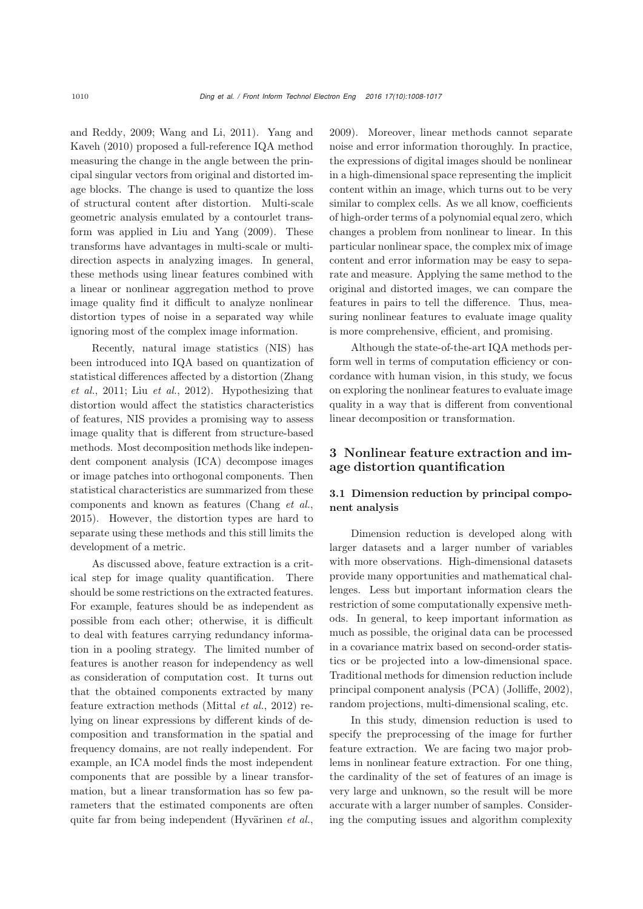and R[eddy,](#page-9-4) [2009](#page-8-6)[;](#page-9-4) [Wang and Li](#page-8-7)[,](#page-9-4) [2011](#page-8-7)[\).](#page-9-4) Yang and Kaveh [\(2010\)](#page-9-4) proposed a full-reference IQA method measuring the change in the angle between the principal singular vectors from original and distorted image blocks. The change is used to quantize the loss of structural content after distortion. Multi-scale geometric analysis emulated by a contourlet transform was applied in [Liu and Yang](#page-8-8) [\(2009](#page-8-8)). These transforms have advantages in multi-scale or multidirection aspects in analyzing images. In general, these methods using linear features combined with a linear or nonlinear aggregation method to prove image quality find it difficult to analyze nonlinear distortion types of noise in a separated way while ignoring most of the complex image information.

Recently, natural image statistics (NIS) has been introduced into IQA based on quantization of stati[stical](#page-9-5) [differences](#page-9-5) [affected](#page-9-5) [by](#page-9-5) [a](#page-9-5) [distortion](#page-9-5) [\(](#page-9-5)Zhang *et al.*, [2011](#page-9-5); Liu *[et al.](#page-8-9)*, [2012](#page-8-9)). Hypothesizing that distortion would affect the statistics characteristics of features, NIS provides a promising way to assess image quality that is different from structure-based methods. Most decomposition methods like independent component analysis (ICA) decompose images or image patches into orthogonal components. Then statistical characteristics are summarized from these components and known as features [\(Chang](#page-8-10) *et al.*, [2015](#page-8-10)). However, the distortion types are hard to separate using these methods and this still limits the development of a metric.

As discussed above, feature extraction is a critical step for image quality quantification. There should be some restrictions on the extracted features. For example, features should be as independent as possible from each other; otherwise, it is difficult to deal with features carrying redundancy information in a pooling strategy. The limited number of features is another reason for independency as well as consideration of computation cost. It turns out that the obtained components extracted by many feature extraction methods [\(Mittal](#page-8-11) *et al.*, [2012](#page-8-11)) relying on linear expressions by different kinds of decomposition and transformation in the spatial and frequency domains, are not really independent. For example, an ICA model finds the most independent components that are possible by a linear transformation, but a linear transformation has so few parameters that the estimated components are often quite far from being independent [\(Hyvärinen](#page-8-12) *et al.*,

[2009](#page-8-12)). Moreover, linear methods cannot separate noise and error information thoroughly. In practice, the expressions of digital images should be nonlinear in a high-dimensional space representing the implicit content within an image, which turns out to be very similar to complex cells. As we all know, coefficients of high-order terms of a polynomial equal zero, which changes a problem from nonlinear to linear. In this particular nonlinear space, the complex mix of image content and error information may be easy to separate and measure. Applying the same method to the original and distorted images, we can compare the features in pairs to tell the difference. Thus, measuring nonlinear features to evaluate image quality is more comprehensive, efficient, and promising.

Although the state-of-the-art IQA methods perform well in terms of computation efficiency or concordance with human vision, in this study, we focus on exploring the nonlinear features to evaluate image quality in a way that is different from conventional linear decomposition or transformation.

## 3 Nonlinear feature extraction and image distortion quantification

## 3.1 Dimension reduction by principal component analysis

Dimension reduction is developed along with larger datasets and a larger number of variables with more observations. High-dimensional datasets provide many opportunities and mathematical challenges. Less but important information clears the restriction of some computationally expensive methods. In general, to keep important information as much as possible, the original data can be processed in a covariance matrix based on second-order statistics or be projected into a low-dimensional space. Traditional methods for dimension reduction include principal component analysis (PCA) [\(Jolliffe](#page-8-13), [2002\)](#page-8-13), random projections, multi-dimensional scaling, etc.

In this study, dimension reduction is used to specify the preprocessing of the image for further feature extraction. We are facing two major problems in nonlinear feature extraction. For one thing, the cardinality of the set of features of an image is very large and unknown, so the result will be more accurate with a larger number of samples. Considering the computing issues and algorithm complexity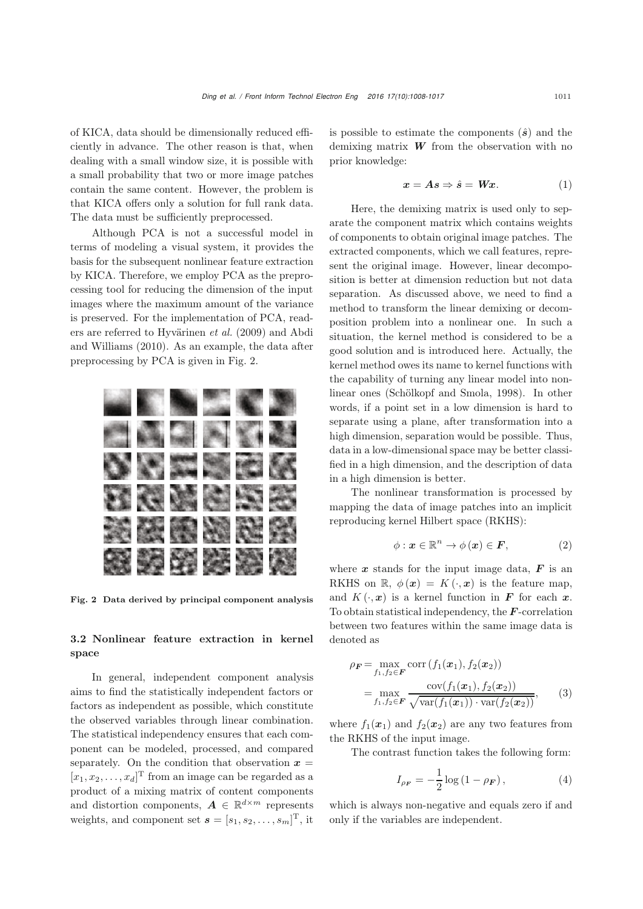of KICA, data should be dimensionally reduced efficiently in advance. The other reason is that, when dealing with a small window size, it is possible with a small probability that two or more image patches contain the same content. However, the problem is that KICA offers only a solution for full rank data. The data must be sufficiently preprocessed.

Although PCA is not a successful model in terms of modeling a visual system, it provides the basis for the subsequent nonlinear feature extraction by KICA. Therefore, we employ PCA as the preprocessing tool for reducing the dimension of the input images where the maximum amount of the variance is preserved. For the implementation of PCA, readers are referr[ed](#page-8-14) [to](#page-8-14) [Hyvärinen](#page-8-12) *et al.* [\(2009\)](#page-8-12) and Abdi and Williams [\(2010\)](#page-8-14). As an example, the data after preprocessing by PCA is given in Fig. 2.



Fig. 2 Data derived by principal component analysis

## 3.2 Nonlinear feature extraction in kernel space

In general, independent component analysis aims to find the statistically independent factors or factors as independent as possible, which constitute the observed variables through linear combination. The statistical independency ensures that each component can be modeled, processed, and compared separately. On the condition that observation  $x =$  $[x_1, x_2, \ldots, x_d]^T$  from an image can be regarded as a<br>product of a mixing matrix of content components product of a mixing matrix of content components and distortion components,  $A \in \mathbb{R}^{d \times m}$  represents weights, and component set  $\mathbf{s} = [s_1, s_2, \dots, s_m]^T$ , it

is possible to estimate the components  $(\hat{s})$  and the demixing matrix *W* from the observation with no prior knowledge:

$$
x = As \Rightarrow \hat{s} = Wx. \tag{1}
$$

Here, the demixing matrix is used only to separate the component matrix which contains weights of components to obtain original image patches. The extracted components, which we call features, represent the original image. However, linear decomposition is better at dimension reduction but not data separation. As discussed above, we need to find a method to transform the linear demixing or decomposition problem into a nonlinear one. In such a situation, the kernel method is considered to be a good solution and is introduced here. Actually, the kernel method owes its name to kernel functions with the capability of turning any linear model into nonlinear ones [\(Schölkopf and Smola, 1998](#page-8-15)). In other words, if a point set in a low dimension is hard to separate using a plane, after transformation into a high dimension, separation would be possible. Thus, data in a low-dimensional space may be better classified in a high dimension, and the description of data in a high dimension is better.

The nonlinear transformation is processed by mapping the data of image patches into an implicit reproducing kernel Hilbert space (RKHS):

$$
\phi: \boldsymbol{x} \in \mathbb{R}^n \to \phi(\boldsymbol{x}) \in \boldsymbol{F}, \tag{2}
$$

where  $x$  stands for the input image data,  $\boldsymbol{F}$  is an RKHS on  $\mathbb{R}, \phi(\boldsymbol{x}) = K(\cdot, \boldsymbol{x})$  is the feature map, and  $K(\cdot, x)$  is a kernel function in **F** for each x. To obtain statistical independency, the *F*-correlation between two features within the same image data is denoted as

$$
\rho_F = \max_{f_1, f_2 \in F} \text{corr}\left(f_1(\boldsymbol{x}_1), f_2(\boldsymbol{x}_2)\right)
$$

$$
= \max_{f_1, f_2 \in F} \frac{\text{cov}(f_1(\boldsymbol{x}_1), f_2(\boldsymbol{x}_2))}{\sqrt{\text{var}(f_1(\boldsymbol{x}_1)) \cdot \text{var}(f_2(\boldsymbol{x}_2))}}, \qquad (3)
$$

where  $f_1(x_1)$  and  $f_2(x_2)$  are any two features from the RKHS of the input image.

The contrast function takes the following form:

$$
I_{\rho_F} = -\frac{1}{2}\log(1 - \rho_F), \tag{4}
$$

which is always non-negative and equals zero if and only if the variables are independent.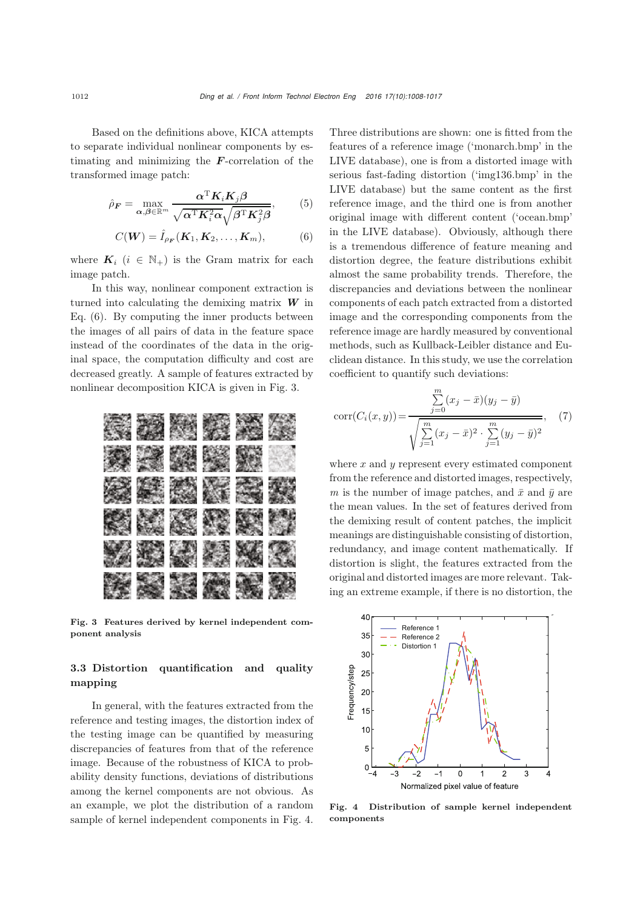Based on the definitions above, KICA attempts to separate individual nonlinear components by estimating and minimizing the *F*-correlation of the transformed image patch:

$$
\hat{\rho}_F = \max_{\alpha, \beta \in \mathbb{R}^m} \frac{\alpha^{\mathrm{T}} K_i K_j \beta}{\sqrt{\alpha^{\mathrm{T}} K_i^2 \alpha} \sqrt{\beta^{\mathrm{T}} K_j^2 \beta}},\tag{5}
$$

$$
C(\boldsymbol{W}) = \hat{I}_{\rho_{\boldsymbol{F}}}(\boldsymbol{K}_1, \boldsymbol{K}_2, \dots, \boldsymbol{K}_m), \tag{6}
$$

where  $K_i$  ( $i \in \mathbb{N}_+$ ) is the Gram matrix for each image patch.

In this way, nonlinear component extraction is turned into calculating the demixing matrix *W* in Eq. (6). By computing the inner products between the images of all pairs of data in the feature space instead of the coordinates of the data in the original space, the computation difficulty and cost are decreased greatly. A sample of features extracted by nonlinear decomposition KICA is given in Fig. 3.



Fig. 3 Features derived by kernel independent component analysis

# 3.3 Distortion quantification and quality mapping

In general, with the features extracted from the reference and testing images, the distortion index of the testing image can be quantified by measuring discrepancies of features from that of the reference image. Because of the robustness of KICA to probability density functions, deviations of distributions among the kernel components are not obvious. As an example, we plot the distribution of a random sample of kernel independent components in Fig. 4.

Three distributions are shown: one is fitted from the features of a reference image ('monarch.bmp' in the LIVE database), one is from a distorted image with serious fast-fading distortion ('img136.bmp' in the LIVE database) but the same content as the first reference image, and the third one is from another original image with different content ('ocean.bmp' in the LIVE database). Obviously, although there is a tremendous difference of feature meaning and distortion degree, the feature distributions exhibit almost the same probability trends. Therefore, the discrepancies and deviations between the nonlinear components of each patch extracted from a distorted image and the corresponding components from the reference image are hardly measured by conventional methods, such as Kullback-Leibler distance and Euclidean distance. In this study, we use the correlation coefficient to quantify such deviations:

$$
corr(C_i(x, y)) = \frac{\sum_{j=0}^{m} (x_j - \bar{x})(y_j - \bar{y})}{\sqrt{\sum_{j=1}^{m} (x_j - \bar{x})^2 \cdot \sum_{j=1}^{m} (y_j - \bar{y})^2}},
$$
 (7)

where  $x$  and  $y$  represent every estimated component from the reference and distorted images, respectively, *m* is the number of image patches, and  $\bar{x}$  and  $\bar{y}$  are the mean values. In the set of features derived from the demixing result of content patches, the implicit meanings are distinguishable consisting of distortion, redundancy, and image content mathematically. If distortion is slight, the features extracted from the original and distorted images are more relevant. Taking an extreme example, if there is no distortion, the



Fig. 4 Distribution of sample kernel independent components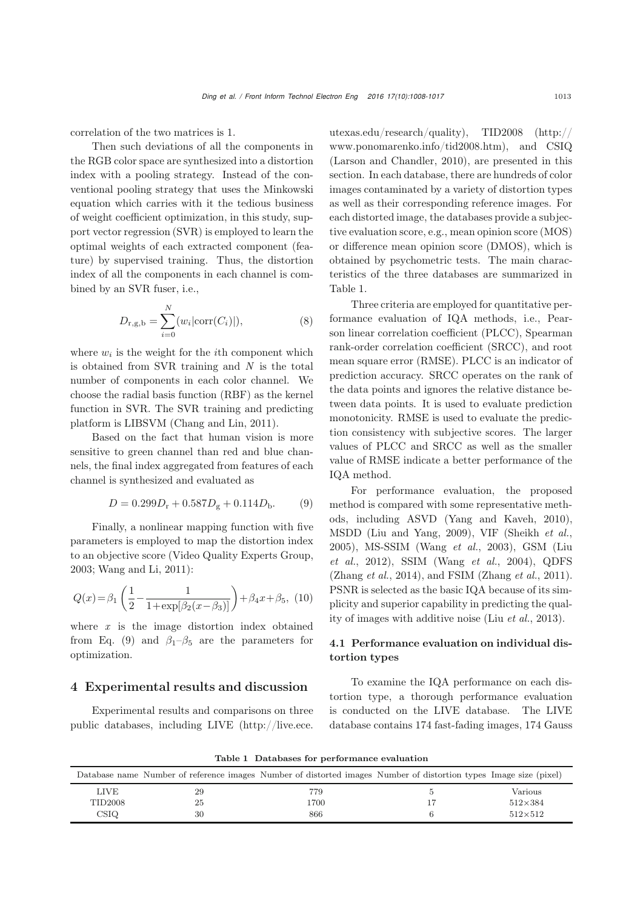correlation of the two matrices is 1.

Then such deviations of all the components in the RGB color space are synthesized into a distortion index with a pooling strategy. Instead of the conventional pooling strategy that uses the Minkowski equation which carries with it the tedious business of weight coefficient optimization, in this study, support vector regression (SVR) is employed to learn the optimal weights of each extracted component (feature) by supervised training. Thus, the distortion index of all the components in each channel is combined by an SVR fuser, i.e.,

$$
D_{r,g,b} = \sum_{i=0}^{N} (w_i | \text{corr}(C_i) |),
$$
 (8)

where  $w_i$  is the weight for the *i*th component which is obtained from SVR training and *N* is the total number of components in each color channel. We choose the radial basis function (RBF) as the kernel function in SVR. The SVR training and predicting platform is LIBSVM [\(Chang and Lin, 2011\)](#page-8-16).

Based on the fact that human vision is more sensitive to green channel than red and blue channels, the final index aggregated from features of each channel is synthesized and evaluated as

$$
D = 0.299D_{\rm r} + 0.587D_{\rm g} + 0.114D_{\rm b}.\tag{9}
$$

Finally, a nonlinear mapping function with five parameters is employed to map the distortion index to an objective score [\(Video Quality Experts Group,](#page-8-17) [2003](#page-8-17); [Wang and Li, 2011\)](#page-8-7):

$$
Q(x) = \beta_1 \left( \frac{1}{2} - \frac{1}{1 + \exp[\beta_2(x - \beta_3)]} \right) + \beta_4 x + \beta_5, (10)
$$

where *x* is the image distortion index obtained from Eq. (9) and  $\beta_1-\beta_5$  are the parameters for optimization.

### 4 Experimental results and discussion

Experimental results and comparisons on three public databases, including LIVE (http://live.ece.

utexas.edu/research/quality), TID2008 (http:// www.ponomarenko.info/tid2008.htm), and CSIQ [\(Larson and Chandler](#page-8-18), [2010\)](#page-8-18), are presented in this section. In each database, there are hundreds of color images contaminated by a variety of distortion types as well as their corresponding reference images. For each distorted image, the databases provide a subjective evaluation score, e.g., mean opinion score (MOS) or difference mean opinion score (DMOS), which is obtained by psychometric tests. The main characteristics of the three databases are summarized in Table 1.

Three criteria are employed for quantitative performance evaluation of IQA methods, i.e., Pearson linear correlation coefficient (PLCC), Spearman rank-order correlation coefficient (SRCC), and root mean square error (RMSE). PLCC is an indicator of prediction accuracy. SRCC operates on the rank of the data points and ignores the relative distance between data points. It is used to evaluate prediction monotonicity. RMSE is used to evaluate the prediction consistency with subjective scores. The larger values of PLCC and SRCC as well as the smaller value of RMSE indicate a better performance of the IQA method.

For performance evaluation, the proposed method is compared with some representative methods, including ASVD [\(Yang and Kaveh](#page-9-4), [2010\)](#page-9-4), MSDD [\(Liu and Yang](#page-8-8), [2009\)](#page-8-8), VIF [\(Sheikh](#page-8-1) *et al.*, [2005](#page-8-1))[,](#page-8-9) [MS-SSIM](#page-8-9) [\(Wang](#page-8-19) *et al.*, [2003](#page-8-19)), GSM (Liu *et al.*, [2012\)](#page-8-9), SSIM [\(Wang](#page-8-0) *et al.*, [2004\)](#page-8-0), QDFS [\(Zhang](#page-9-1) *et al.*, [2014](#page-9-1)), and FSIM [\(Zhang](#page-9-5) *et al.*, [2011\)](#page-9-5). PSNR is selected as the basic IQA because of its simplicity and superior capability in predicting the quality of images with additive noise (Liu *[et al.](#page-8-20)*, [2013\)](#page-8-20).

## 4.1 Performance evaluation on individual distortion types

To examine the IQA performance on each distortion type, a thorough performance evaluation is conducted on the LIVE database. The LIVE database contains 174 fast-fading images, 174 Gauss

| rable 1 Databases for performance evaluation |    |                                                                                                                   |  |                |  |  |  |
|----------------------------------------------|----|-------------------------------------------------------------------------------------------------------------------|--|----------------|--|--|--|
|                                              |    | Database name Number of reference images Number of distorted images Number of distortion types Image size (pixel) |  |                |  |  |  |
| <b>LIVE</b>                                  | 29 | 779                                                                                                               |  | Various        |  |  |  |
| TID2008                                      | 25 | 1700                                                                                                              |  | $512\times384$ |  |  |  |
| CSIQ                                         | 30 | 866                                                                                                               |  | $512\times512$ |  |  |  |

Table 1 Databases for performance evaluation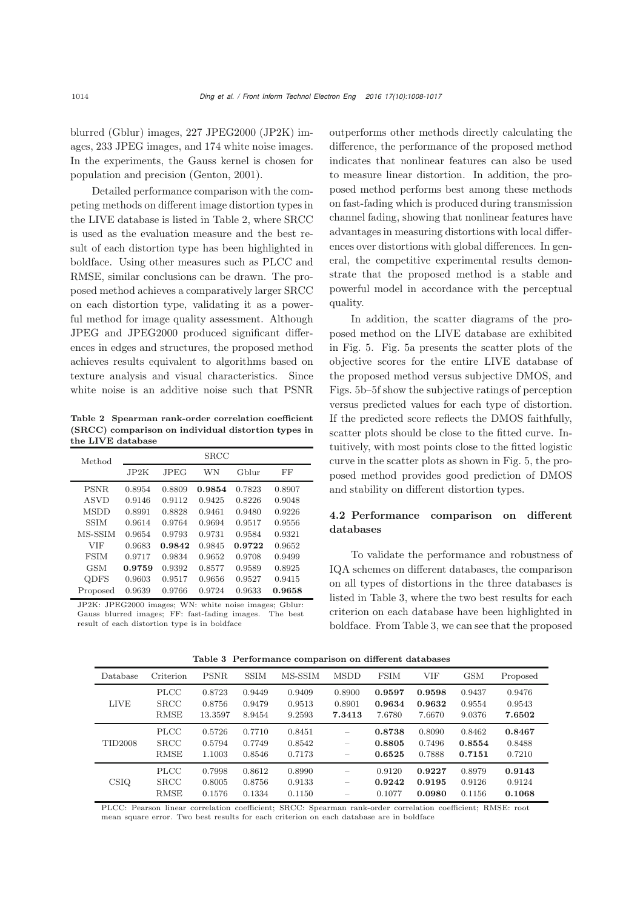blurred (Gblur) images, 227 JPEG2000 (JP2K) images, 233 JPEG images, and 174 white noise images. In the experiments, the Gauss kernel is chosen for population and precision [\(Genton](#page-8-21), [2001\)](#page-8-21).

Detailed performance comparison with the competing methods on different image distortion types in the LIVE database is listed in Table 2, where SRCC is used as the evaluation measure and the best result of each distortion type has been highlighted in boldface. Using other measures such as PLCC and RMSE, similar conclusions can be drawn. The proposed method achieves a comparatively larger SRCC on each distortion type, validating it as a powerful method for image quality assessment. Although JPEG and JPEG2000 produced significant differences in edges and structures, the proposed method achieves results equivalent to algorithms based on texture analysis and visual characteristics. Since white noise is an additive noise such that PSNR

Table 2 Spearman rank-order correlation coefficient (SRCC) comparison on individual distortion types in the LIVE database

| Method      | <b>SRCC</b> |             |        |        |        |  |
|-------------|-------------|-------------|--------|--------|--------|--|
|             | JP2K        | <b>JPEG</b> | WN     | Gblur  | FF     |  |
| PSNR.       | 0.8954      | 0.8809      | 0.9854 | 0.7823 | 0.8907 |  |
| ASVD        | 0.9146      | 0.9112      | 0.9425 | 0.8226 | 0.9048 |  |
| <b>MSDD</b> | 0.8991      | 0.8828      | 0.9461 | 0.9480 | 0.9226 |  |
| <b>SSIM</b> | 0.9614      | 0.9764      | 0.9694 | 0.9517 | 0.9556 |  |
| MS-SSIM     | 0.9654      | 0.9793      | 0.9731 | 0.9584 | 0.9321 |  |
| <b>VIF</b>  | 0.9683      | 0.9842      | 0.9845 | 0.9722 | 0.9652 |  |
| <b>FSIM</b> | 0.9717      | 0.9834      | 0.9652 | 0.9708 | 0.9499 |  |
| <b>GSM</b>  | 0.9759      | 0.9392      | 0.8577 | 0.9589 | 0.8925 |  |
| <b>QDFS</b> | 0.9603      | 0.9517      | 0.9656 | 0.9527 | 0.9415 |  |
| Proposed    | 0.9639      | 0.9766      | 0.9724 | 0.9633 | 0.9658 |  |

JP2K: JPEG2000 images; WN: white noise images; Gblur: Gauss blurred images; FF: fast-fading images. The best result of each distortion type is in boldface

outperforms other methods directly calculating the difference, the performance of the proposed method indicates that nonlinear features can also be used to measure linear distortion. In addition, the proposed method performs best among these methods on fast-fading which is produced during transmission channel fading, showing that nonlinear features have advantages in measuring distortions with local differences over distortions with global differences. In general, the competitive experimental results demonstrate that the proposed method is a stable and powerful model in accordance with the perceptual quality.

In addition, the scatter diagrams of the proposed method on the LIVE database are exhibited in Fig. 5. Fig. 5a presents the scatter plots of the objective scores for the entire LIVE database of the proposed method versus subjective DMOS, and Figs. 5b–5f show the subjective ratings of perception versus predicted values for each type of distortion. If the predicted score reflects the DMOS faithfully, scatter plots should be close to the fitted curve. Intuitively, with most points close to the fitted logistic curve in the scatter plots as shown in Fig. 5, the proposed method provides good prediction of DMOS and stability on different distortion types.

## 4.2 Performance comparison on different databases

To validate the performance and robustness of IQA schemes on different databases, the comparison on all types of distortions in the three databases is listed in Table 3, where the two best results for each criterion on each database have been highlighted in boldface. From Table 3, we can see that the proposed

| Database       | Criterion                                 | <b>PSNR</b>                 | <b>SSIM</b>                | MS-SSIM                    | <b>MSDD</b>                | <b>FSIM</b>                | VIF                        | <b>GSM</b>                 | Proposed                   |
|----------------|-------------------------------------------|-----------------------------|----------------------------|----------------------------|----------------------------|----------------------------|----------------------------|----------------------------|----------------------------|
| <b>LIVE</b>    | <b>PLCC</b><br><b>SRCC</b><br><b>RMSE</b> | 0.8723<br>0.8756<br>13.3597 | 0.9449<br>0.9479<br>8.9454 | 0.9409<br>0.9513<br>9.2593 | 0.8900<br>0.8901<br>7.3413 | 0.9597<br>0.9634<br>7.6780 | 0.9598<br>0.9632<br>7.6670 | 0.9437<br>0.9554<br>9.0376 | 0.9476<br>0.9543<br>7.6502 |
| <b>TID2008</b> | <b>PLCC</b><br><b>SRCC</b><br><b>RMSE</b> | 0.5726<br>0.5794<br>1.1003  | 0.7710<br>0.7749<br>0.8546 | 0.8451<br>0.8542<br>0.7173 | -<br>-                     | 0.8738<br>0.8805<br>0.6525 | 0.8090<br>0.7496<br>0.7888 | 0.8462<br>0.8554<br>0.7151 | 0.8467<br>0.8488<br>0.7210 |
| <b>CSIQ</b>    | <b>PLCC</b><br><b>SRCC</b><br><b>RMSE</b> | 0.7998<br>0.8005<br>0.1576  | 0.8612<br>0.8756<br>0.1334 | 0.8990<br>0.9133<br>0.1150 |                            | 0.9120<br>0.9242<br>0.1077 | 0.9227<br>0.9195<br>0.0980 | 0.8979<br>0.9126<br>0.1156 | 0.9143<br>0.9124<br>0.1068 |

Table 3 Performance comparison on different databases

PLCC: Pearson linear correlation coefficient; SRCC: Spearman rank-order correlation coefficient; RMSE: root mean square error. Two best results for each criterion on each database are in boldface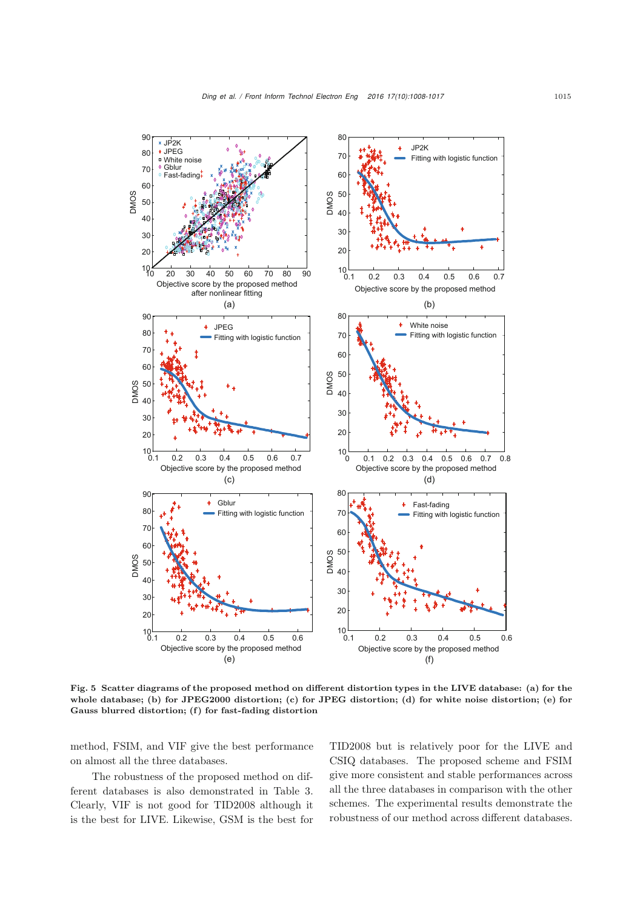

Fig. 5 Scatter diagrams of the proposed method on different distortion types in the LIVE database: (a) for the whole database; (b) for JPEG2000 distortion; (c) for JPEG distortion; (d) for white noise distortion; (e) for Gauss blurred distortion; (f) for fast-fading distortion

method, FSIM, and VIF give the best performance on almost all the three databases.

The robustness of the proposed method on different databases is also demonstrated in Table 3. Clearly, VIF is not good for TID2008 although it is the best for LIVE. Likewise, GSM is the best for TID2008 but is relatively poor for the LIVE and CSIQ databases. The proposed scheme and FSIM give more consistent and stable performances across all the three databases in comparison with the other schemes. The experimental results demonstrate the robustness of our method across different databases.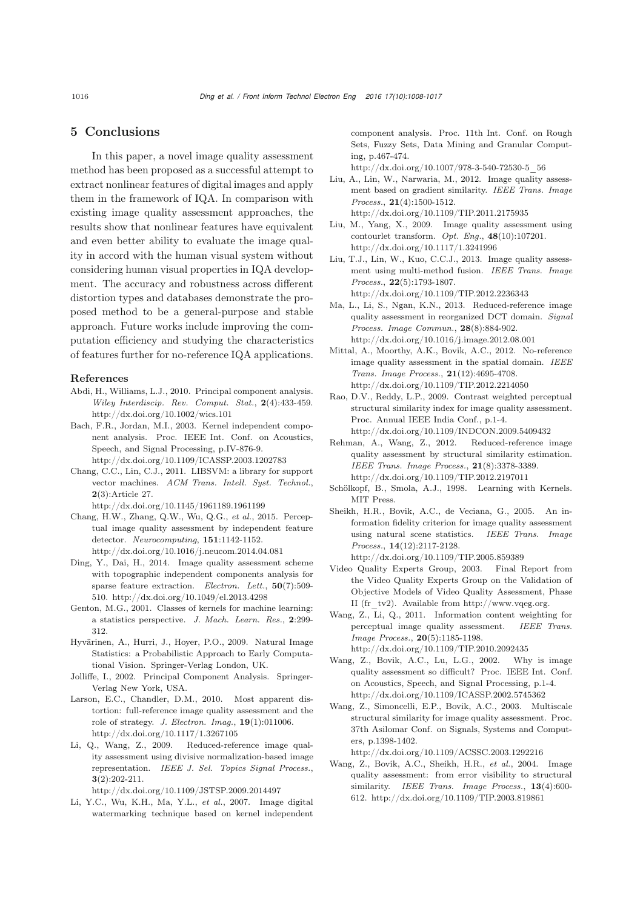## 5 Conclusions

In this paper, a novel image quality assessment method has been proposed as a successful attempt to extract nonlinear features of digital images and apply them in the framework of IQA. In comparison with existing image quality assessment approaches, the results show that nonlinear features have equivalent and even better ability to evaluate the image quality in accord with the human visual system without considering human visual properties in IQA development. The accuracy and robustness across different distortion types and databases demonstrate the proposed method to be a general-purpose and stable approach. Future works include improving the computation efficiency and studying the characteristics of features further for no-reference IQA applications.

#### References

- <span id="page-8-14"></span>Abdi, H., Williams, L.J., 2010. Principal component analysis. *Wiley Interdiscip. Rev. Comput. Stat.*, 2(4):433-459. http://dx.doi.org/10.1002/wics.101
- <span id="page-8-3"></span>Bach, F.R., Jordan, M.I., 2003. Kernel independent component analysis. Proc. IEEE Int. Conf. on Acoustics, Speech, and Signal Processing, p.IV-876-9. http://dx.doi.org/10.1109/ICASSP.2003.1202783
- <span id="page-8-16"></span>Chang, C.C., Lin, C.J., 2011. LIBSVM: a library for support vector machines. *ACM Trans. Intell. Syst. Technol.*, 2(3):Article 27.

http://dx.doi.org/10.1145/1961189.1961199

- <span id="page-8-10"></span>Chang, H.W., Zhang, Q.W., Wu, Q.G., *et al.*, 2015. Perceptual image quality assessment by independent feature detector. *Neurocomputing*, 151:1142-1152. http://dx.doi.org/10.1016/j.neucom.2014.04.081
- <span id="page-8-2"></span>Ding, Y., Dai, H., 2014. Image quality assessment scheme with topographic independent components analysis for sparse feature extraction. *Electron. Lett.*, 50(7):509- 510. http://dx.doi.org/10.1049/el.2013.4298
- <span id="page-8-21"></span>Genton, M.G., 2001. Classes of kernels for machine learning: a statistics perspective. *J. Mach. Learn. Res.*, 2:299- 312.
- <span id="page-8-12"></span>Hyvärinen, A., Hurri, J., Hoyer, P.O., 2009. Natural Image Statistics: a Probabilistic Approach to Early Computational Vision. Springer-Verlag London, UK.
- <span id="page-8-13"></span>Jolliffe, I., 2002. Principal Component Analysis. Springer-Verlag New York, USA.
- <span id="page-8-18"></span>Larson, E.C., Chandler, D.M., 2010. Most apparent distortion: full-reference image quality assessment and the role of strategy. *J. Electron. Imag.*, 19(1):011006. http://dx.doi.org/10.1117/1.3267105
- Li, Q., Wang, Z., 2009. Reduced-reference image quality assessment using divisive normalization-based image representation. *IEEE J. Sel. Topics Signal Process.*,  $3(2):202-211.$

http://dx.doi.org/10.1109/JSTSP.2009.2014497

<span id="page-8-4"></span>Li, Y.C., Wu, K.H., Ma, Y.L., *et al.*, 2007. Image digital watermarking technique based on kernel independent

component analysis. Proc. 11th Int. Conf. on Rough Sets, Fuzzy Sets, Data Mining and Granular Computing, p.467-474.

http://dx.doi.org/10.1007/978-3-540-72530-5\_56

- <span id="page-8-9"></span>Liu, A., Lin, W., Narwaria, M., 2012. Image quality assessment based on gradient similarity. *IEEE Trans. Image Process.*, 21(4):1500-1512. http://dx.doi.org/10.1109/TIP.2011.2175935
- <span id="page-8-8"></span>Liu, M., Yang, X., 2009. Image quality assessment using contourlet transform. *Opt. Eng.*, 48(10):107201. http://dx.doi.org/10.1117/1.3241996
- <span id="page-8-20"></span>Liu, T.J., Lin, W., Kuo, C.C.J., 2013. Image quality assessment using multi-method fusion. *IEEE Trans. Image Process.*, 22(5):1793-1807. http://dx.doi.org/10.1109/TIP.2012.2236343
- Ma, L., Li, S., Ngan, K.N., 2013. Reduced-reference image quality assessment in reorganized DCT domain. *Signal Process. Image Commun.*, 28(8):884-902. http://dx.doi.org/10.1016/j.image.2012.08.001
- <span id="page-8-11"></span>Mittal, A., Moorthy, A.K., Bovik, A.C., 2012. No-reference image quality assessment in the spatial domain. *IEEE Trans. Image Process.*, 21(12):4695-4708. http://dx.doi.org/10.1109/TIP.2012.2214050
- <span id="page-8-6"></span>Rao, D.V., Reddy, L.P., 2009. Contrast weighted perceptual structural similarity index for image quality assessment. Proc. Annual IEEE India Conf., p.1-4. http://dx.doi.org/10.1109/INDCON.2009.5409432
- Rehman, A., Wang, Z., 2012. Reduced-reference image quality assessment by structural similarity estimation. *IEEE Trans. Image Process.*, 21(8):3378-3389. http://dx.doi.org/10.1109/TIP.2012.2197011
- <span id="page-8-15"></span>Schölkopf, B., Smola, A.J., 1998. Learning with Kernels. MIT Press.
- <span id="page-8-1"></span>Sheikh, H.R., Bovik, A.C., de Veciana, G., 2005. An information fidelity criterion for image quality assessment using natural scene statistics. *IEEE Trans. Image Process.*, 14(12):2117-2128. http://dx.doi.org/10.1109/TIP.2005.859389
- <span id="page-8-17"></span>Video Quality Experts Group, 2003. Final Report from the Video Quality Experts Group on the Validation of Objective Models of Video Quality Assessment, Phase II (fr\_tv2). Available from http://www.vqeg.org.
- <span id="page-8-7"></span>Wang, Z., Li, Q., 2011. Information content weighting for perceptual image quality assessment. *IEEE Trans. Image Process.*, 20(5):1185-1198. http://dx.doi.org/10.1109/TIP.2010.2092435
- <span id="page-8-5"></span>Wang, Z., Bovik, A.C., Lu, L.G., 2002. Why is image quality assessment so difficult? Proc. IEEE Int. Conf. on Acoustics, Speech, and Signal Processing, p.1-4. http://dx.doi.org/10.1109/ICASSP.2002.5745362
- <span id="page-8-19"></span>Wang, Z., Simoncelli, E.P., Bovik, A.C., 2003. Multiscale structural similarity for image quality assessment. Proc. 37th Asilomar Conf. on Signals, Systems and Computers, p.1398-1402.

http://dx.doi.org/10.1109/ACSSC.2003.1292216

<span id="page-8-0"></span>Wang, Z., Bovik, A.C., Sheikh, H.R., *et al.*, 2004. Image quality assessment: from error visibility to structural similarity. *IEEE Trans. Image Process.*, 13(4):600- 612. http://dx.doi.org/10.1109/TIP.2003.819861